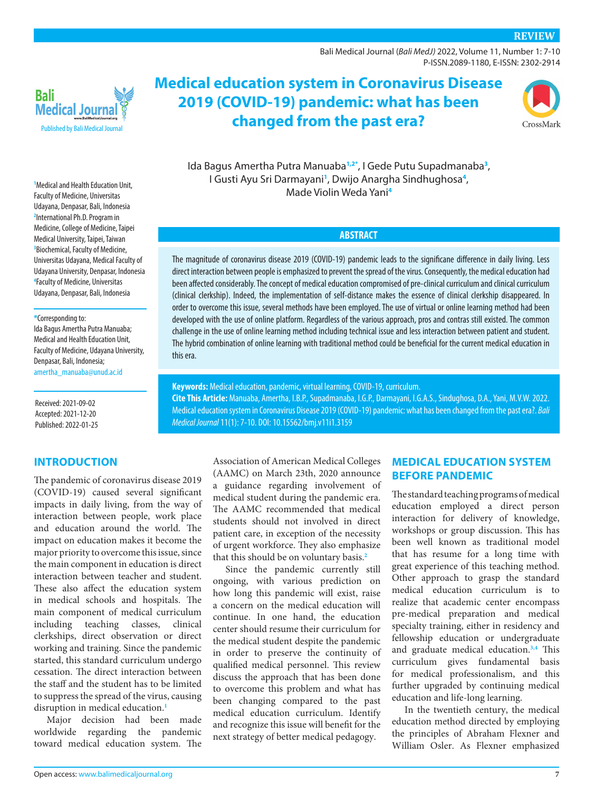[Bali Medical Journal](http://www.balimedicaljournal.org/) (*Bali MedJ)* 2022, Volume 11, Number 1: 7-10 P-ISSN.2089-1180, E-ISSN: 2302-2914



**Medical education system in Coronavirus Disease 2019 (COVID-19) pandemic: what has been changed from the past era?**



Ida Bagus Amertha Putra Manuaba**[1,](#page-0-0)[2](#page-0-1)[\\*](#page-0-2)** , I Gede Putu Supadmanaba**[3](#page-0-3)** , I Gusti Ayu Sri Darmayani**[1](#page-0-0)** , Dwijo Anargha Sindhughosa**[4](#page-0-4)** , Made Violin Weda Yani**[4](#page-0-4)**

### **ABSTRACT**

The magnitude of coronavirus disease 2019 (COVID-19) pandemic leads to the significane difference in daily living. Less direct interaction between people is emphasized to prevent the spread of the virus. Consequently, the medical education had been affected considerably. The concept of medical education compromised of pre-clinical curriculum and clinical curriculum (clinical clerkship). Indeed, the implementation of self-distance makes the essence of clinical clerkship disappeared. In order to overcome this issue, several methods have been employed. The use of virtual or online learning method had been developed with the use of online platform. Regardless of the various approach, pros and contras still existed. The common challenge in the use of online learning method including technical issue and less interaction between patient and student. The hybrid combination of online learning with traditional method could be beneficial for the current medical education in this era.

**Keywords:** Medical education, pandemic, virtual learning, COVID-19, curriculum. **Cite This Article:** Manuaba, Amertha, I.B.P., Supadmanaba, I.G.P., Darmayani, I.G.A.S., Sindughosa, D.A., Yani, M.V.W. 2022. Medical education system in Coronavirus Disease 2019 (COVID-19) pandemic: what has been changed from the past era?. *Bali Medical Journal* 11(1): 7-10. DOI: [10.15562/bmj.v11i1.3159](http://dx.doi.org/10.15562/bmj.v11i1.3159)

> Association of American Medical Colleges (AAMC) on March 23th, 2020 announce a guidance regarding involvement of medical student during the pandemic era. The AAMC recommended that medical students should not involved in direct patient care, in exception of the necessity of urgent workforce. They also emphasize that this should be on voluntary basis.**[2](#page-3-1)**

> Since the pandemic currently still ongoing, with various prediction on how long this pandemic will exist, raise a concern on the medical education will continue. In one hand, the education center should resume their curriculum for the medical student despite the pandemic in order to preserve the continuity of qualified medical personnel. This review discuss the approach that has been done to overcome this problem and what has been changing compared to the past medical education curriculum. Identify and recognize this issue will benefit for the next strategy of better medical pedagogy.

### **MEDICAL EDUCATION SYSTEM BEFORE PANDEMIC**

The standard teaching programs of medical education employed a direct person interaction for delivery of knowledge, workshops or group discussion. This has been well known as traditional model that has resume for a long time with great experience of this teaching method. Other approach to grasp the standard medical education curriculum is to realize that academic center encompass pre-medical preparation and medical specialty training, either in residency and fellowship education or undergraduate and graduate medical education.**[3](#page-3-2)[,4](#page-3-3)** This curriculum gives fundamental basis for medical professionalism, and this further upgraded by continuing medical education and life-long learning.

In the twentieth century, the medical education method directed by employing the principles of Abraham Flexner and William Osler. As Flexner emphasized

<span id="page-0-3"></span><span id="page-0-1"></span><span id="page-0-0"></span>**1** Medical and Health Education Unit, Faculty of Medicine, Universitas Udayana, Denpasar, Bali, Indonesia **2** International Ph.D. Program in Medicine, College of Medicine, Taipei Medical University, Taipei, Taiwan **3** Biochemical, Faculty of Medicine, Universitas Udayana, Medical Faculty of Udayana University, Denpasar, Indonesia **4** Faculty of Medicine, Universitas Udayana, Denpasar, Bali, Indonesia

#### <span id="page-0-4"></span><span id="page-0-2"></span>**\***Corresponding to:

Ida Bagus Amertha Putra Manuaba; Medical and Health Education Unit, Faculty of Medicine, Udayana University, Denpasar, Bali, Indonesia; amertha\_manuaba@unud.ac.id

Received: 2021-09-02 Accepted: 2021-12-20 Published: 2022-01-25

### **INTRODUCTION**

The pandemic of coronavirus disease 2019 (COVID-19) caused several significant impacts in daily living, from the way of interaction between people, work place and education around the world. The impact on education makes it become the major priority to overcome this issue, since the main component in education is direct interaction between teacher and student. These also affect the education system in medical schools and hospitals. The main component of medical curriculum including teaching classes, clinical clerkships, direct observation or direct working and training. Since the pandemic started, this standard curriculum undergo cessation. The direct interaction between the staff and the student has to be limited to suppress the spread of the virus, causing disruption in medical education.**[1](#page-3-0)**

Major decision had been made worldwide regarding the pandemic toward medical education system. The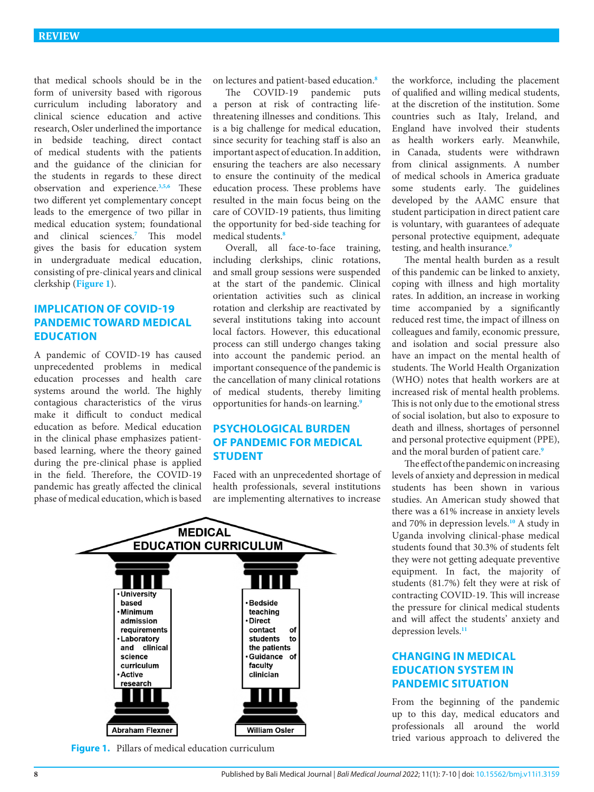that medical schools should be in the form of university based with rigorous curriculum including laboratory and clinical science education and active research, Osler underlined the importance in bedside teaching, direct contact of medical students with the patients and the guidance of the clinician for the students in regards to these direct observation and experience.**[3](#page-3-2)[,5](#page-3-4),[6](#page-3-5)** These two different yet complementary concept leads to the emergence of two pillar in medical education system; foundational and clinical sciences.**[7](#page-3-6)** This model gives the basis for education system in undergraduate medical education, consisting of pre-clinical years and clinical clerkship (**[Figure 1](#page-1-0)**).

# **IMPLICATION OF COVID-19 PANDEMIC TOWARD MEDICAL EDUCATION**

A pandemic of COVID-19 has caused unprecedented problems in medical education processes and health care systems around the world. The highly contagious characteristics of the virus make it difficult to conduct medical education as before. Medical education in the clinical phase emphasizes patientbased learning, where the theory gained during the pre-clinical phase is applied in the field. Therefore, the COVID-19 pandemic has greatly affected the clinical phase of medical education, which is based on lectures and patient-based education.**[8](#page-3-7)**

The COVID-19 pandemic puts a person at risk of contracting lifethreatening illnesses and conditions. This is a big challenge for medical education, since security for teaching staff is also an important aspect of education. In addition, ensuring the teachers are also necessary to ensure the continuity of the medical education process. These problems have resulted in the main focus being on the care of COVID-19 patients, thus limiting the opportunity for bed-side teaching for medical students.**[8](#page-3-7)**

Overall, all face-to-face training, including clerkships, clinic rotations, and small group sessions were suspended at the start of the pandemic. Clinical orientation activities such as clinical rotation and clerkship are reactivated by several institutions taking into account local factors. However, this educational process can still undergo changes taking into account the pandemic period. an important consequence of the pandemic is the cancellation of many clinical rotations of medical students, thereby limiting opportunities for hands-on learning.**[9](#page-3-8)**

# **PSYCHOLOGICAL BURDEN OF PANDEMIC FOR MEDICAL STUDENT**

Faced with an unprecedented shortage of health professionals, several institutions are implementing alternatives to increase



<span id="page-1-0"></span>**Figure 1.** Pillars of medical education curriculum

the workforce, including the placement of qualified and willing medical students, at the discretion of the institution. Some countries such as Italy, Ireland, and England have involved their students as health workers early. Meanwhile, in Canada, students were withdrawn from clinical assignments. A number of medical schools in America graduate some students early. The guidelines developed by the AAMC ensure that student participation in direct patient care is voluntary, with guarantees of adequate personal protective equipment, adequate testing, and health insurance.**[9](#page-3-8)**

The mental health burden as a result of this pandemic can be linked to anxiety, coping with illness and high mortality rates. In addition, an increase in working time accompanied by a significantly reduced rest time, the impact of illness on colleagues and family, economic pressure, and isolation and social pressure also have an impact on the mental health of students. The World Health Organization (WHO) notes that health workers are at increased risk of mental health problems. This is not only due to the emotional stress of social isolation, but also to exposure to death and illness, shortages of personnel and personal protective equipment (PPE), and the moral burden of patient care.**[9](#page-3-8)**

The effect of the pandemic on increasing levels of anxiety and depression in medical students has been shown in various studies. An American study showed that there was a 61% increase in anxiety levels and 70% in depression levels.**[10](#page-3-9)** A study in Uganda involving clinical-phase medical students found that 30.3% of students felt they were not getting adequate preventive equipment. In fact, the majority of students (81.7%) felt they were at risk of contracting COVID-19. This will increase the pressure for clinical medical students and will affect the students' anxiety and depression levels.**[11](#page-3-10)**

## **CHANGING IN MEDICAL EDUCATION SYSTEM IN PANDEMIC SITUATION**

From the beginning of the pandemic up to this day, medical educators and professionals all around the world tried various approach to delivered the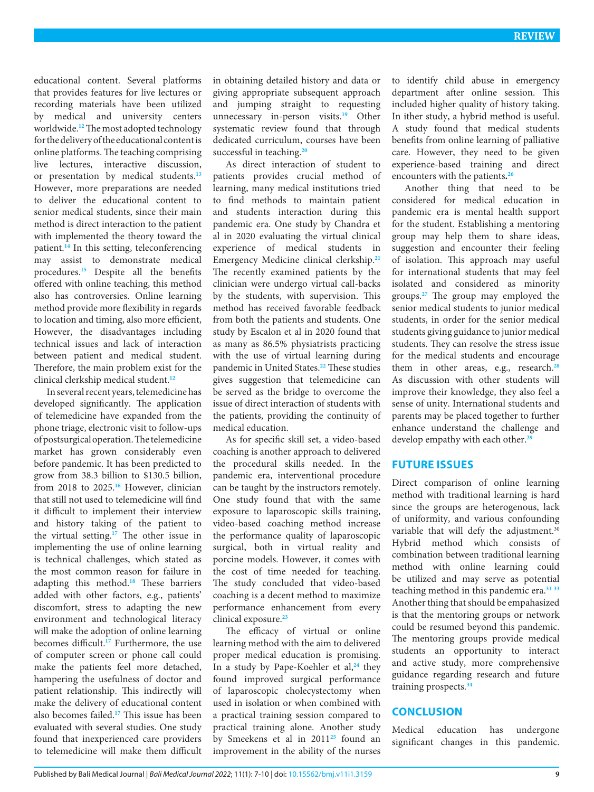educational content. Several platforms that provides features for live lectures or recording materials have been utilized by medical and university centers worldwide.**[12](#page-3-11)** The most adopted technology for the delivery of the educational content is online platforms. The teaching comprising live lectures, interactive discussion, or presentation by medical students.**[13](#page-3-12)** However, more preparations are needed to deliver the educational content to senior medical students, since their main method is direct interaction to the patient with implemented the theory toward the patient.**[14](#page-3-13)** In this setting, teleconferencing may assist to demonstrate medical procedures.**[15](#page-3-14)** Despite all the benefits offered with online teaching, this method also has controversies. Online learning method provide more flexibility in regards to location and timing, also more efficient, However, the disadvantages including technical issues and lack of interaction between patient and medical student. Therefore, the main problem exist for the clinical clerkship medical student.**[12](#page-3-11)**

In several recent years, telemedicine has developed significantly. The application of telemedicine have expanded from the phone triage, electronic visit to follow-ups of postsurgical operation. The telemedicine market has grown considerably even before pandemic. It has been predicted to grow from 38.3 billion to \$130.5 billion, from 2018 to 2025.**[16](#page-3-15)** However, clinician that still not used to telemedicine will find it difficult to implement their interview and history taking of the patient to the virtual setting.**[17](#page-3-16)** The other issue in implementing the use of online learning is technical challenges, which stated as the most common reason for failure in adapting this method.**[18](#page-3-17)** These barriers added with other factors, e.g., patients' discomfort, stress to adapting the new environment and technological literacy will make the adoption of online learning becomes difficult.**[17](#page-3-16)** Furthermore, the use of computer screen or phone call could make the patients feel more detached, hampering the usefulness of doctor and patient relationship. This indirectly will make the delivery of educational content also becomes failed.**[17](#page-3-16)** This issue has been evaluated with several studies. One study found that inexperienced care providers to telemedicine will make them difficult

in obtaining detailed history and data or giving appropriate subsequent approach and jumping straight to requesting unnecessary in-person visits.**[19](#page-3-18)** Other systematic review found that through dedicated curriculum, courses have been successful in teaching.**[20](#page-3-19)**

As direct interaction of student to patients provides crucial method of learning, many medical institutions tried to find methods to maintain patient and students interaction during this pandemic era. One study by Chandra et al in 2020 evaluating the virtual clinical experience of medical students in Emergency Medicine clinical clerkship.**[21](#page-3-20)** The recently examined patients by the clinician were undergo virtual call-backs by the students, with supervision. This method has received favorable feedback from both the patients and students. One study by Escalon et al in 2020 found that as many as 86.5% physiatrists practicing with the use of virtual learning during pandemic in United States.**[22](#page-3-21)** These studies gives suggestion that telemedicine can be served as the bridge to overcome the issue of direct interaction of students with the patients, providing the continuity of medical education.

As for specific skill set, a video-based coaching is another approach to delivered the procedural skills needed. In the pandemic era, interventional procedure can be taught by the instructors remotely. One study found that with the same exposure to laparoscopic skills training, video-based coaching method increase the performance quality of laparoscopic surgical, both in virtual reality and porcine models. However, it comes with the cost of time needed for teaching. The study concluded that video-based coaching is a decent method to maximize performance enhancement from every clinical exposure.**[23](#page-3-22)**

The efficacy of virtual or online learning method with the aim to delivered proper medical education is promising. In a study by Pape-Koehler et al,**[24](#page-3-23)** they found improved surgical performance of laparoscopic cholecystectomy when used in isolation or when combined with a practical training session compared to practical training alone. Another study by Smeekens et al in 2011**[25](#page-3-24)** found an improvement in the ability of the nurses

to identify child abuse in emergency department after online session. This included higher quality of history taking. In ither study, a hybrid method is useful. A study found that medical students benefits from online learning of palliative care. However, they need to be given experience-based training and direct encounters with the patients**. [26](#page-3-25)**

Another thing that need to be considered for medical education in pandemic era is mental health support for the student. Establishing a mentoring group may help them to share ideas, suggestion and encounter their feeling of isolation. This approach may useful for international students that may feel isolated and considered as minority groups.**[27](#page-3-26)** The group may employed the senior medical students to junior medical students, in order for the senior medical students giving guidance to junior medical students. They can resolve the stress issue for the medical students and encourage them in other areas, e.g., research.**[28](#page-3-27)** As discussion with other students will improve their knowledge, they also feel a sense of unity. International students and parents may be placed together to further enhance understand the challenge and develop empathy with each other.**[29](#page-3-28)**

### **FUTURE ISSUES**

Direct comparison of online learning method with traditional learning is hard since the groups are heterogenous, lack of uniformity, and various confounding variable that will defy the adjustment.<sup>30</sup> Hybrid method which consists of combination between traditional learning method with online learning could be utilized and may serve as potential teaching method in this pandemic era.**[31](#page-3-29)[-33](#page-3-30)** Another thing that should be empahasized is that the mentoring groups or network could be resumed beyond this pandemic. The mentoring groups provide medical students an opportunity to interact and active study, more comprehensive guidance regarding research and future training prospects.**[34](#page-3-31)**

### **CONCLUSION**

Medical education has undergone significant changes in this pandemic.